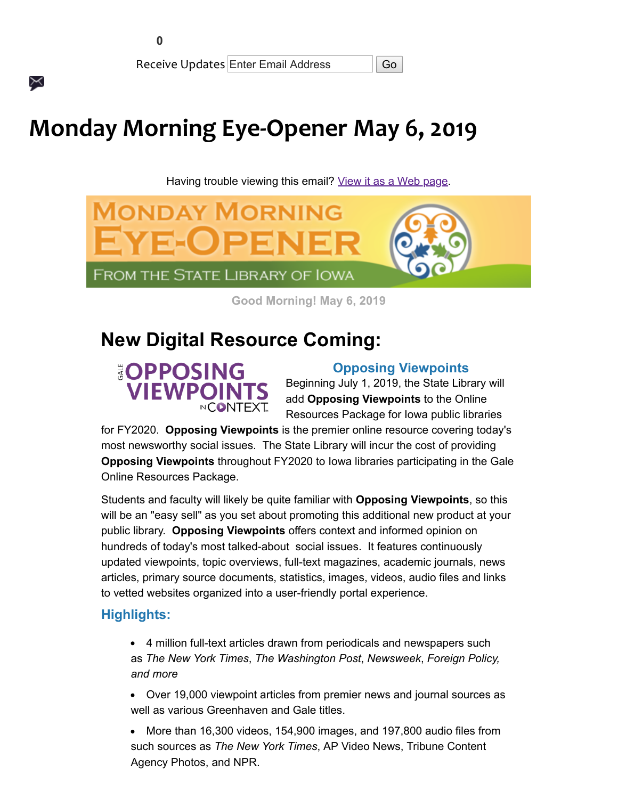$\times$ 

Receive Updates Enter Email Address **Go** 

# **Monday Morning Eye-Opener May 6, 2019**

Having trouble viewing this email? [View it as a Web page.](https://content.govdelivery.com/accounts/IACIO/bulletins/24331d1)



**Good Morning! May 6, 2019**

# **New Digital Resource Coming:**

## **EOPPOSING VIEWPOINTS INCONTEXT**

#### **Opposing Viewpoints**

Beginning July 1, 2019, the State Library will add **Opposing Viewpoints** to the Online Resources Package for Iowa public libraries

for FY2020. **Opposing Viewpoints** is the premier online resource covering today's most newsworthy social issues. The State Library will incur the cost of providing **Opposing Viewpoints** throughout FY2020 to Iowa libraries participating in the Gale Online Resources Package.

Students and faculty will likely be quite familiar with **Opposing Viewpoints**, so this will be an "easy sell" as you set about promoting this additional new product at your public library. **Opposing Viewpoints** offers context and informed opinion on hundreds of today's most talked-about social issues. It features continuously updated viewpoints, topic overviews, full-text magazines, academic journals, news articles, primary source documents, statistics, images, videos, audio files and links to vetted websites organized into a user-friendly portal experience.

#### **Highlights:**

- 4 million full-text articles drawn from periodicals and newspapers such as *The New York Times*, *The Washington Post*, *Newsweek*, *Foreign Policy, and more*
- Over 19,000 viewpoint articles from premier news and journal sources as well as various Greenhaven and Gale titles.
- More than 16,300 videos, 154,900 images, and 197,800 audio files from such sources as *The New York Times*, AP Video News, Tribune Content Agency Photos, and NPR.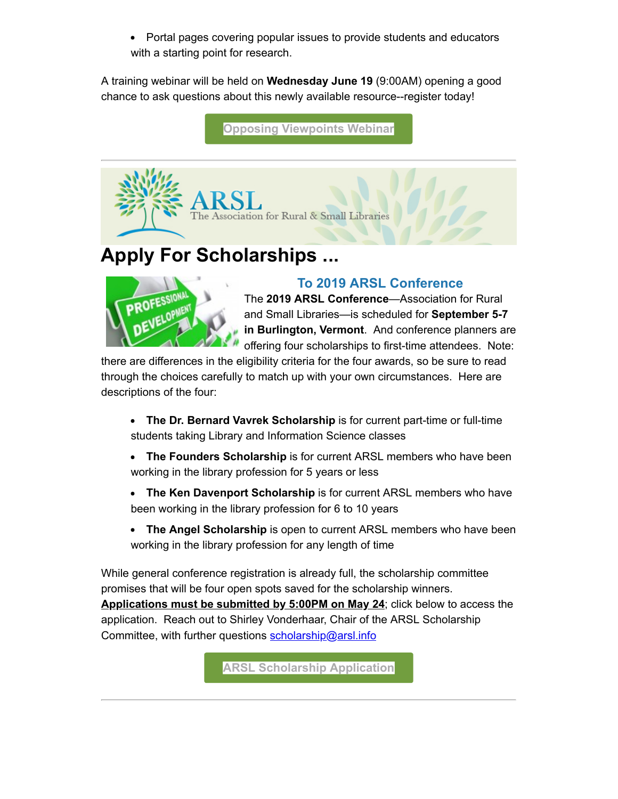• Portal pages covering popular issues to provide students and educators with a starting point for research.

A training webinar will be held on **Wednesday June 19** (9:00AM) opening a good chance to ask questions about this newly available resource--register today!

**[Opposing Viewpoints Webinar](https://statelibraryofiowa.lmscheckout.com/Course/index?utm_medium=email&utm_source=govdelivery)**



# **Apply For Scholarships ...**



#### **To 2019 ARSL Conference**

The **2019 ARSL Conference**—Association for Rural and Small Libraries—is scheduled for **September 5-7 in Burlington, Vermont**. And conference planners are offering four scholarships to first-time attendees. Note:

there are differences in the eligibility criteria for the four awards, so be sure to read through the choices carefully to match up with your own circumstances. Here are descriptions of the four:

- **The Dr. Bernard Vavrek Scholarship** is for current part-time or full-time students taking Library and Information Science classes
- **The Founders Scholarship** is for current ARSL members who have been working in the library profession for 5 years or less
- **The Ken Davenport Scholarship** is for current ARSL members who have been working in the library profession for 6 to 10 years
- **The Angel Scholarship** is open to current ARSL members who have been working in the library profession for any length of time

While general conference registration is already full, the scholarship committee promises that will be four open spots saved for the scholarship winners. **Applications must be submitted by 5:00PM on May 24**; click below to access the application. Reach out to Shirley Vonderhaar, Chair of the ARSL Scholarship Committee, with further questions [scholarship@arsl.info](mailto:scholarship@arsl.info)

**[ARSL Scholarship Application](https://arsl.info/2019-conference-news/arsl-scholarships/?utm_medium=email&utm_source=govdelivery)**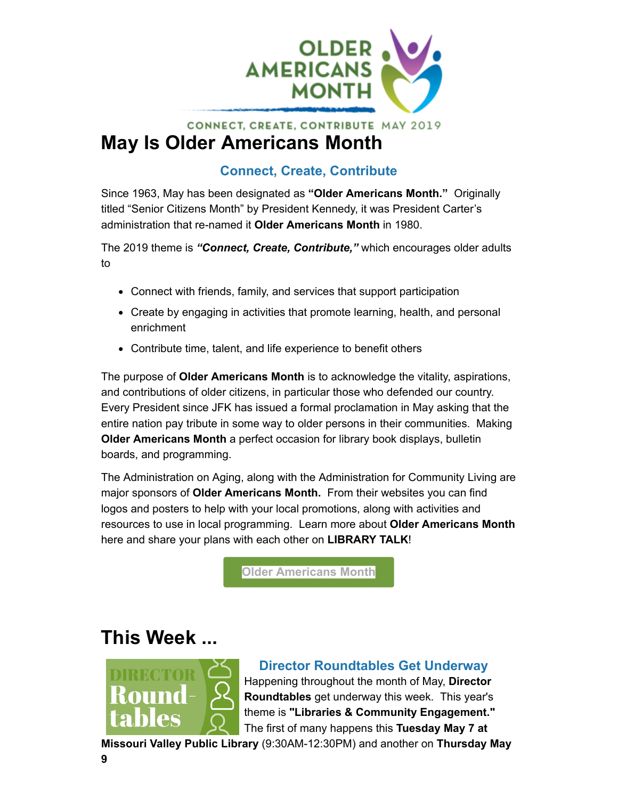

### **CONNECT, CREATE, CONTRIBUTE MAY 2019 May Is Older Americans Month**

### **Connect, Create, Contribute**

Since 1963, May has been designated as **"Older Americans Month."** Originally titled "Senior Citizens Month" by President Kennedy, it was President Carter's administration that re-named it **Older Americans Month** in 1980.

The 2019 theme is *"Connect, Create, Contribute,"* which encourages older adults to

- Connect with friends, family, and services that support participation
- Create by engaging in activities that promote learning, health, and personal enrichment
- Contribute time, talent, and life experience to benefit others

The purpose of **Older Americans Month** is to acknowledge the vitality, aspirations, and contributions of older citizens, in particular those who defended our country. Every President since JFK has issued a formal proclamation in May asking that the entire nation pay tribute in some way to older persons in their communities. Making **Older Americans Month** a perfect occasion for library book displays, bulletin boards, and programming.

The Administration on Aging, along with the Administration for Community Living are major sponsors of **Older Americans Month.** From their websites you can find logos and posters to help with your local promotions, along with activities and resources to use in local programming. Learn more about **Older Americans Month** here and share your plans with each other on **LIBRARY TALK**!

**[Older Americans Month](https://acl.gov/oam/2019/older-americans-month-2019?utm_medium=email&utm_source=govdelivery)**

# **This Week ...**



### **Director Roundtables Get Underway**

Happening throughout the month of May, **Director Roundtables** get underway this week. This year's theme is **"Libraries & Community Engagement."**  The first of many happens this **Tuesday May 7 at**

**Missouri Valley Public Library** (9:30AM-12:30PM) and another on **Thursday May**